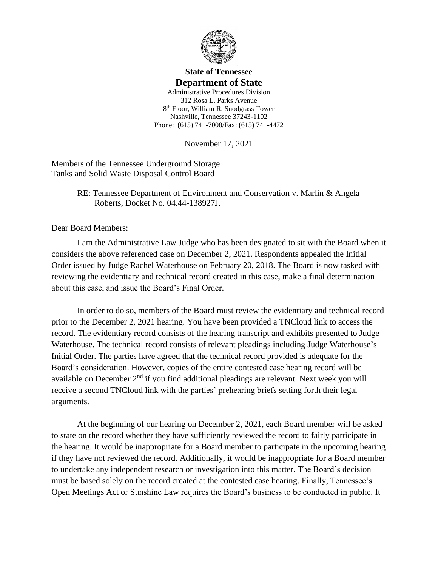

## **State of Tennessee Department of State**

Administrative Procedures Division 312 Rosa L. Parks Avenue 8 th Floor, William R. Snodgrass Tower Nashville, Tennessee 37243-1102 Phone: (615) 741-7008/Fax: (615) 741-4472

November 17, 2021

Members of the Tennessee Underground Storage Tanks and Solid Waste Disposal Control Board

> RE: Tennessee Department of Environment and Conservation v. Marlin & Angela Roberts, Docket No. 04.44-138927J.

Dear Board Members:

I am the Administrative Law Judge who has been designated to sit with the Board when it considers the above referenced case on December 2, 2021. Respondents appealed the Initial Order issued by Judge Rachel Waterhouse on February 20, 2018. The Board is now tasked with reviewing the evidentiary and technical record created in this case, make a final determination about this case, and issue the Board's Final Order.

In order to do so, members of the Board must review the evidentiary and technical record prior to the December 2, 2021 hearing. You have been provided a TNCloud link to access the record. The evidentiary record consists of the hearing transcript and exhibits presented to Judge Waterhouse. The technical record consists of relevant pleadings including Judge Waterhouse's Initial Order. The parties have agreed that the technical record provided is adequate for the Board's consideration. However, copies of the entire contested case hearing record will be available on December  $2<sup>nd</sup>$  if you find additional pleadings are relevant. Next week you will receive a second TNCloud link with the parties' prehearing briefs setting forth their legal arguments.

At the beginning of our hearing on December 2, 2021, each Board member will be asked to state on the record whether they have sufficiently reviewed the record to fairly participate in the hearing. It would be inappropriate for a Board member to participate in the upcoming hearing if they have not reviewed the record. Additionally, it would be inappropriate for a Board member to undertake any independent research or investigation into this matter. The Board's decision must be based solely on the record created at the contested case hearing. Finally, Tennessee's Open Meetings Act or Sunshine Law requires the Board's business to be conducted in public. It